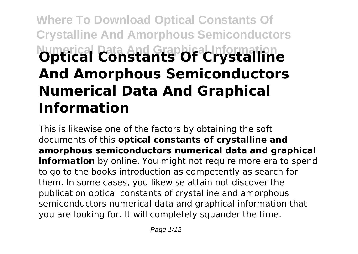# **Where To Download Optical Constants Of Crystalline And Amorphous Semiconductors Numerical Data And Graphical Information Optical Constants Of Crystalline And Amorphous Semiconductors Numerical Data And Graphical Information**

This is likewise one of the factors by obtaining the soft documents of this **optical constants of crystalline and amorphous semiconductors numerical data and graphical information** by online. You might not require more era to spend to go to the books introduction as competently as search for them. In some cases, you likewise attain not discover the publication optical constants of crystalline and amorphous semiconductors numerical data and graphical information that you are looking for. It will completely squander the time.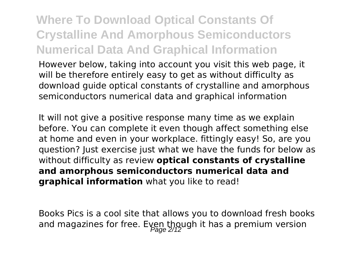## **Where To Download Optical Constants Of Crystalline And Amorphous Semiconductors Numerical Data And Graphical Information**

However below, taking into account you visit this web page, it will be therefore entirely easy to get as without difficulty as download guide optical constants of crystalline and amorphous semiconductors numerical data and graphical information

It will not give a positive response many time as we explain before. You can complete it even though affect something else at home and even in your workplace. fittingly easy! So, are you question? Just exercise just what we have the funds for below as without difficulty as review **optical constants of crystalline and amorphous semiconductors numerical data and graphical information** what you like to read!

Books Pics is a cool site that allows you to download fresh books and magazines for free. Even though it has a premium version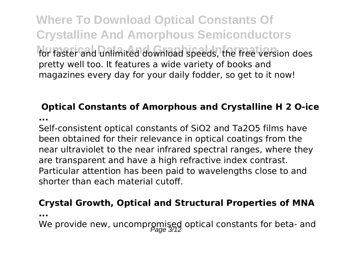**Where To Download Optical Constants Of Crystalline And Amorphous Semiconductors** for faster and unlimited download speeds, the free version does pretty well too. It features a wide variety of books and magazines every day for your daily fodder, so get to it now!

## **Optical Constants of Amorphous and Crystalline H 2 O-ice**

**...**

Self-consistent optical constants of SiO2 and Ta2O5 films have been obtained for their relevance in optical coatings from the near ultraviolet to the near infrared spectral ranges, where they are transparent and have a high refractive index contrast. Particular attention has been paid to wavelengths close to and shorter than each material cutoff.

### **Crystal Growth, Optical and Structural Properties of MNA**

**...**

We provide new, uncompromised optical constants for beta- and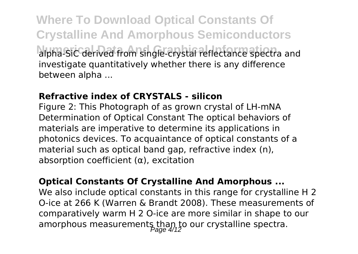**Where To Download Optical Constants Of Crystalline And Amorphous Semiconductors** alpha-SiC derived from single-crystal reflectance spectra and investigate quantitatively whether there is any difference between alpha ...

### **Refractive index of CRYSTALS - silicon**

Figure 2: This Photograph of as grown crystal of LH-mNA Determination of Optical Constant The optical behaviors of materials are imperative to determine its applications in photonics devices. To acquaintance of optical constants of a material such as optical band gap, refractive index (n), absorption coefficient (α), excitation

#### **Optical Constants Of Crystalline And Amorphous ...**

We also include optical constants in this range for crystalline H 2 O-ice at 266 K (Warren & Brandt 2008). These measurements of comparatively warm H 2 O-ice are more similar in shape to our amorphous measurements than to our crystalline spectra.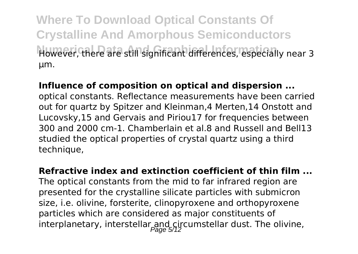**Where To Download Optical Constants Of Crystalline And Amorphous Semiconductors** However, there are still significant differences, especially near 3 μm.

### **Influence of composition on optical and dispersion ...**

optical constants. Reflectance measurements have been carried out for quartz by Spitzer and Kleinman,4 Merten,14 Onstott and Lucovsky,15 and Gervais and Piriou17 for frequencies between 300 and 2000 cm-1. Chamberlain et al.8 and Russell and Bell13 studied the optical properties of crystal quartz using a third technique,

### **Refractive index and extinction coefficient of thin film ...**

The optical constants from the mid to far infrared region are presented for the crystalline silicate particles with submicron size, i.e. olivine, forsterite, clinopyroxene and orthopyroxene particles which are considered as major constituents of interplanetary, interstellar and circumstellar dust. The olivine,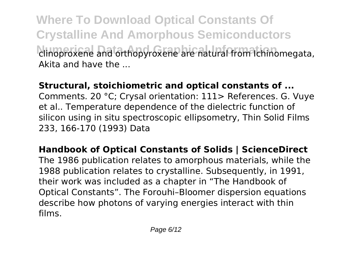**Where To Download Optical Constants Of Crystalline And Amorphous Semiconductors Numerical Data And Graphical Information** clinoproxene and orthopyroxene are natural from Ichinomegata, Akita and have the ...

**Structural, stoichiometric and optical constants of ...**

Comments. 20 °C; Crysal orientation: 111> References. G. Vuye et al.. Temperature dependence of the dielectric function of silicon using in situ spectroscopic ellipsometry, Thin Solid Films 233, 166-170 (1993) Data

**Handbook of Optical Constants of Solids | ScienceDirect** The 1986 publication relates to amorphous materials, while the 1988 publication relates to crystalline. Subsequently, in 1991, their work was included as a chapter in "The Handbook of Optical Constants". The Forouhi–Bloomer dispersion equations describe how photons of varying energies interact with thin films.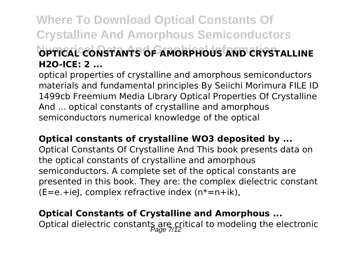## **Where To Download Optical Constants Of Crystalline And Amorphous Semiconductors NUMERICAL CONSTANTS OF AMORPHOUS AND CRYSTALLINE H2O-ICE: 2 ...**

optical properties of crystalline and amorphous semiconductors materials and fundamental principles By Seiichi Morimura FILE ID 1499cb Freemium Media Library Optical Properties Of Crystalline And ... optical constants of crystalline and amorphous semiconductors numerical knowledge of the optical

**Optical constants of crystalline WO3 deposited by ...** Optical Constants Of Crystalline And This book presents data on the optical constants of crystalline and amorphous semiconductors. A complete set of the optical constants are presented in this book. They are: the complex dielectric constant  $(E=e.+ieL)$ , complex refractive index  $(n*-n+ik)$ ,

## **Optical Constants of Crystalline and Amorphous ...**

Optical dielectric constants are critical to modeling the electronic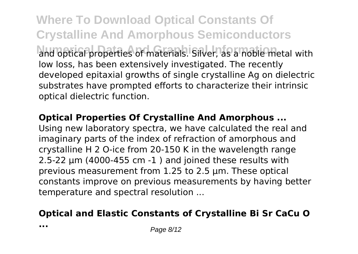**Where To Download Optical Constants Of Crystalline And Amorphous Semiconductors** and optical properties of materials. Silver, as a noble metal with low loss, has been extensively investigated. The recently developed epitaxial growths of single crystalline Ag on dielectric substrates have prompted efforts to characterize their intrinsic optical dielectric function.

**Optical Properties Of Crystalline And Amorphous ...**

Using new laboratory spectra, we have calculated the real and imaginary parts of the index of refraction of amorphous and crystalline H 2 O-ice from 20-150 K in the wavelength range 2.5-22 μm (4000-455 cm -1 ) and joined these results with previous measurement from 1.25 to 2.5 μm. These optical constants improve on previous measurements by having better temperature and spectral resolution ...

### **Optical and Elastic Constants of Crystalline Bi Sr CaCu O**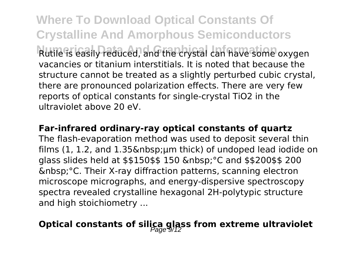**Where To Download Optical Constants Of Crystalline And Amorphous Semiconductors** Rutile is easily reduced, and the crystal can have some oxygen vacancies or titanium interstitials. It is noted that because the structure cannot be treated as a slightly perturbed cubic crystal, there are pronounced polarization effects. There are very few reports of optical constants for single-crystal TiO2 in the ultraviolet above 20 eV.

#### **Far-infrared ordinary-ray optical constants of quartz**

The flash-evaporation method was used to deposit several thin films  $(1, 1.2,$  and  $1.35\  \mu m$  thick) of undoped lead iodide on glass slides held at  $$150$ \$\$ 150 &nbsp: °C and \$\$200\$\$ 200 °C. Their X-ray diffraction patterns, scanning electron microscope micrographs, and energy-dispersive spectroscopy spectra revealed crystalline hexagonal 2H-polytypic structure and high stoichiometry ...

## **Optical constants of silica glass from extreme ultraviolet**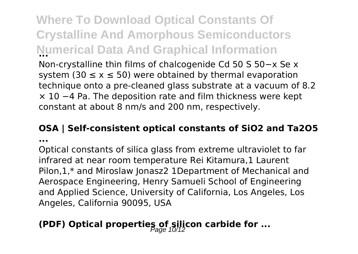**Where To Download Optical Constants Of Crystalline And Amorphous Semiconductors Numerical Data And Graphical Information ...** Non-crystalline thin films of chalcogenide Cd 50 S 50−x Se x system (30  $\leq$  x  $\leq$  50) were obtained by thermal evaporation technique onto a pre-cleaned glass substrate at a vacuum of 8.2 × 10 −4 Pa. The deposition rate and film thickness were kept constant at about 8 nm/s and 200 nm, respectively.

# **OSA | Self-consistent optical constants of SiO2 and Ta2O5**

**...**

Optical constants of silica glass from extreme ultraviolet to far infrared at near room temperature Rei Kitamura,1 Laurent Pilon,1,\* and Miroslaw Jonasz2 1Department of Mechanical and Aerospace Engineering, Henry Samueli School of Engineering and Applied Science, University of California, Los Angeles, Los Angeles, California 90095, USA

## **(PDF) Optical properties of silicon carbide for ...**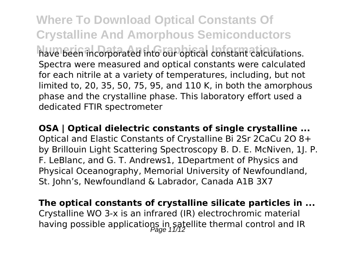**Where To Download Optical Constants Of Crystalline And Amorphous Semiconductors Numerical Data And Graphical Information** have been incorporated into our optical constant calculations. Spectra were measured and optical constants were calculated for each nitrile at a variety of temperatures, including, but not limited to, 20, 35, 50, 75, 95, and 110 K, in both the amorphous phase and the crystalline phase. This laboratory effort used a dedicated FTIR spectrometer

**OSA | Optical dielectric constants of single crystalline ...** Optical and Elastic Constants of Crystalline Bi 2Sr 2CaCu 2O 8+ by Brillouin Light Scattering Spectroscopy B. D. E. McNiven, 1J. P. F. LeBlanc, and G. T. Andrews1, 1Department of Physics and Physical Oceanography, Memorial University of Newfoundland, St. John's, Newfoundland & Labrador, Canada A1B 3X7

**The optical constants of crystalline silicate particles in ...** Crystalline WO 3-x is an infrared (IR) electrochromic material having possible applications in satellite thermal control and IR